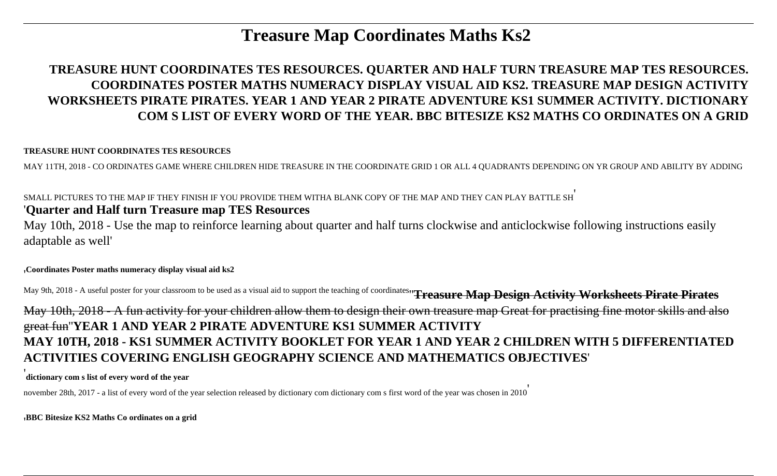# **Treasure Map Coordinates Maths Ks2**

# **TREASURE HUNT COORDINATES TES RESOURCES. QUARTER AND HALF TURN TREASURE MAP TES RESOURCES. COORDINATES POSTER MATHS NUMERACY DISPLAY VISUAL AID KS2. TREASURE MAP DESIGN ACTIVITY WORKSHEETS PIRATE PIRATES. YEAR 1 AND YEAR 2 PIRATE ADVENTURE KS1 SUMMER ACTIVITY. DICTIONARY COM S LIST OF EVERY WORD OF THE YEAR. BBC BITESIZE KS2 MATHS CO ORDINATES ON A GRID**

#### **TREASURE HUNT COORDINATES TES RESOURCES**

MAY 11TH, 2018 - CO ORDINATES GAME WHERE CHILDREN HIDE TREASURE IN THE COORDINATE GRID 1 OR ALL 4 QUADRANTS DEPENDING ON YR GROUP AND ABILITY BY ADDING

### SMALL PICTURES TO THE MAP IF THEY FINISH IF YOU PROVIDE THEM WITHA BLANK COPY OF THE MAP AND THEY CAN PLAY BATTLE SH'

## '**Quarter and Half turn Treasure map TES Resources**

May 10th, 2018 - Use the map to reinforce learning about quarter and half turns clockwise and anticlockwise following instructions easily adaptable as well'

#### '**Coordinates Poster maths numeracy display visual aid ks2**

May 9th, 2018 - A useful poster for your classroom to be used as a visual aid to support the teaching of coordinates''**Treasure Map Design Activity Worksheets Pirate Pirates** May 10th, 2018 - A fun activity for your children allow them to design their own treasure map Great for practising fine motor skills and also great fun''**YEAR 1 AND YEAR 2 PIRATE ADVENTURE KS1 SUMMER ACTIVITY MAY 10TH, 2018 - KS1 SUMMER ACTIVITY BOOKLET FOR YEAR 1 AND YEAR 2 CHILDREN WITH 5 DIFFERENTIATED ACTIVITIES COVERING ENGLISH GEOGRAPHY SCIENCE AND MATHEMATICS OBJECTIVES**'

'**dictionary com s list of every word of the year**

november 28th, 2017 - a list of every word of the year selection released by dictionary com dictionary com s first word of the year was chosen in 2010'

'**BBC Bitesize KS2 Maths Co ordinates on a grid**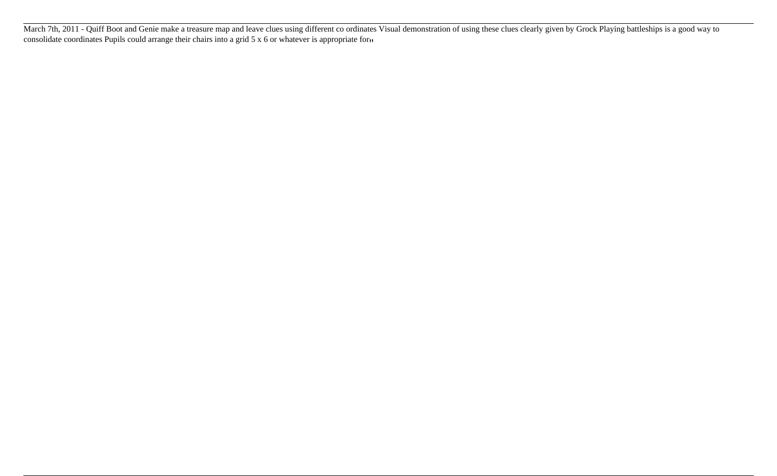March 7th, 2011 - Quiff Boot and Genie make a treasure map and leave clues using different co ordinates Visual demonstration of using these clues clearly given by Grock Playing battleships is a good way to consolidate coordinates Pupils could arrange their chairs into a grid 5 x 6 or whatever is appropriate for.